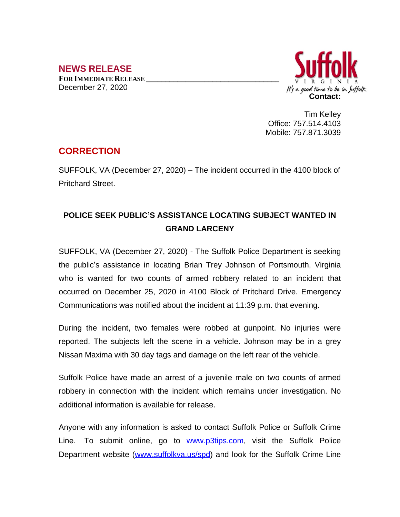## **NEWS RELEASE**

**FOR IMMEDIATE RELEASE \_\_\_\_\_\_\_\_\_\_\_\_\_\_\_\_\_\_\_\_\_\_\_\_\_\_\_\_\_\_\_\_\_\_** December 27, 2020



Tim Kelley Office: 757.514.4103 Mobile: 757.871.3039

## **CORRECTION**

SUFFOLK, VA (December 27, 2020) – The incident occurred in the 4100 block of Pritchard Street.

## **POLICE SEEK PUBLIC'S ASSISTANCE LOCATING SUBJECT WANTED IN GRAND LARCENY**

SUFFOLK, VA (December 27, 2020) - The Suffolk Police Department is seeking the public's assistance in locating Brian Trey Johnson of Portsmouth, Virginia who is wanted for two counts of armed robbery related to an incident that occurred on December 25, 2020 in 4100 Block of Pritchard Drive. Emergency Communications was notified about the incident at 11:39 p.m. that evening.

During the incident, two females were robbed at gunpoint. No injuries were reported. The subjects left the scene in a vehicle. Johnson may be in a grey Nissan Maxima with 30 day tags and damage on the left rear of the vehicle.

Suffolk Police have made an arrest of a juvenile male on two counts of armed robbery in connection with the incident which remains under investigation. No additional information is available for release.

Anyone with any information is asked to contact Suffolk Police or Suffolk Crime Line. To submit online, go to **[www.p3tips.com](http://www.p3tips.com)**, visit the Suffolk Police Department website ([www.suffolkva.us/spd\)](http://www.suffolkva.us/spd) and look for the Suffolk Crime Line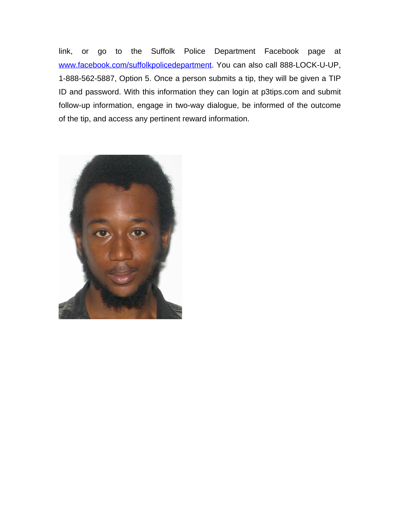link, or go to the Suffolk Police Department Facebook page at [www.facebook.com/suffolkpolicedepartment](http://www.facebook.com/suffolkpolicedepartment). You can also call 888-LOCK-U-UP, 1-888-562-5887, Option 5. Once a person submits a tip, they will be given a TIP ID and password. With this information they can login at p3tips.com and submit follow-up information, engage in two-way dialogue, be informed of the outcome of the tip, and access any pertinent reward information.